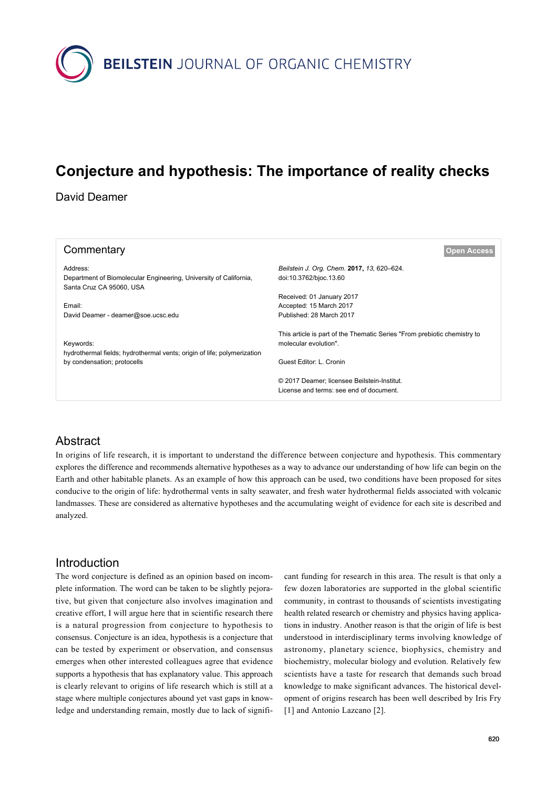

# **Conjecture and hypothesis: The importance of reality checks**

#### David Deamer

| Commentary                                                                                                          | <b>Open Access</b>                                                                                |
|---------------------------------------------------------------------------------------------------------------------|---------------------------------------------------------------------------------------------------|
| Address:                                                                                                            | Beilstein J. Org. Chem. 2017, 13, 620-624.                                                        |
| Department of Biomolecular Engineering, University of California,<br>Santa Cruz CA 95060, USA                       | doi:10.3762/bjoc.13.60                                                                            |
|                                                                                                                     | Received: 01 January 2017                                                                         |
| Email:                                                                                                              | Accepted: 15 March 2017                                                                           |
| David Deamer - deamer@soe.ucsc.edu                                                                                  | Published: 28 March 2017                                                                          |
| Keywords:<br>hydrothermal fields; hydrothermal vents; origin of life; polymerization<br>by condensation; protocells | This article is part of the Thematic Series "From prebiotic chemistry to<br>molecular evolution". |
|                                                                                                                     | Guest Editor: L. Cronin                                                                           |
|                                                                                                                     | © 2017 Deamer; licensee Beilstein-Institut.<br>License and terms: see end of document.            |

# Abstract

In origins of life research, it is important to understand the difference between conjecture and hypothesis. This commentary explores the difference and recommends alternative hypotheses as a way to advance our understanding of how life can begin on the Earth and other habitable planets. As an example of how this approach can be used, two conditions have been proposed for sites conducive to the origin of life: hydrothermal vents in salty seawater, and fresh water hydrothermal fields associated with volcanic landmasses. These are considered as alternative hypotheses and the accumulating weight of evidence for each site is described and analyzed.

### Introduction

The word conjecture is defined as an opinion based on incomplete information. The word can be taken to be slightly pejorative, but given that conjecture also involves imagination and creative effort, I will argue here that in scientific research there is a natural progression from conjecture to hypothesis to consensus. Conjecture is an idea, hypothesis is a conjecture that can be tested by experiment or observation, and consensus emerges when other interested colleagues agree that evidence supports a hypothesis that has explanatory value. This approach is clearly relevant to origins of life research which is still at a stage where multiple conjectures abound yet vast gaps in knowledge and understanding remain, mostly due to lack of signifi-

cant funding for research in this area. The result is that only a few dozen laboratories are supported in the global scientific community, in contrast to thousands of scientists investigating health related research or chemistry and physics having applications in industry. Another reason is that the origin of life is best understood in interdisciplinary terms involving knowledge of astronomy, planetary science, biophysics, chemistry and biochemistry, molecular biology and evolution. Relatively few scientists have a taste for research that demands such broad knowledge to make significant advances. The historical development of origins research has been well described by Iris Fry [\[1\]](#page-3-0) and Antonio Lazcano [\[2\].](#page-3-1)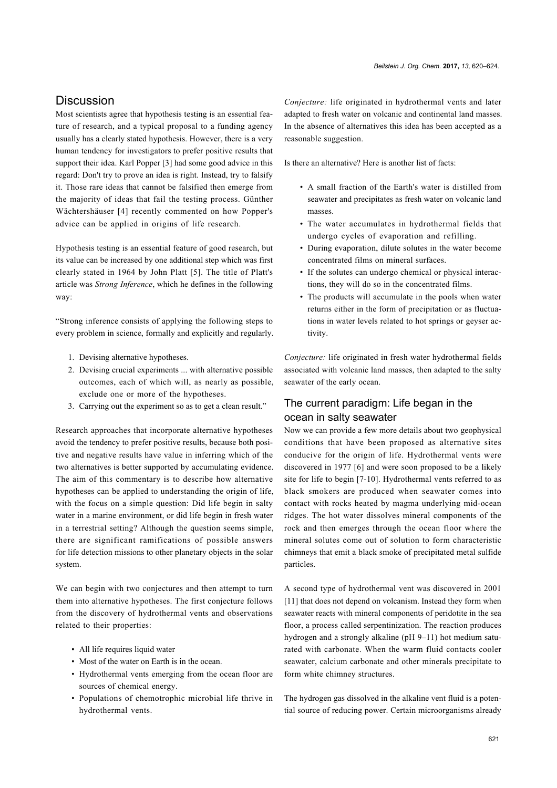# Discussion

Most scientists agree that hypothesis testing is an essential feature of research, and a typical proposal to a funding agency usually has a clearly stated hypothesis. However, there is a very human tendency for investigators to prefer positive results that support their idea. Karl Popper [\[3\]](#page-3-2) had some good advice in this regard: Don't try to prove an idea is right. Instead, try to falsify it. Those rare ideas that cannot be falsified then emerge from the majority of ideas that fail the testing process. Günther Wächtershäuser [\[4\]](#page-3-3) recently commented on how Popper's advice can be applied in origins of life research.

Hypothesis testing is an essential feature of good research, but its value can be increased by one additional step which was first clearly stated in 1964 by John Platt [\[5\]](#page-3-4). The title of Platt's article was *Strong Inference*, which he defines in the following way:

"Strong inference consists of applying the following steps to every problem in science, formally and explicitly and regularly.

- 1. Devising alternative hypotheses.
- 2. Devising crucial experiments ... with alternative possible outcomes, each of which will, as nearly as possible, exclude one or more of the hypotheses.
- 3. Carrying out the experiment so as to get a clean result."

Research approaches that incorporate alternative hypotheses avoid the tendency to prefer positive results, because both positive and negative results have value in inferring which of the two alternatives is better supported by accumulating evidence. The aim of this commentary is to describe how alternative hypotheses can be applied to understanding the origin of life, with the focus on a simple question: Did life begin in salty water in a marine environment, or did life begin in fresh water in a terrestrial setting? Although the question seems simple, there are significant ramifications of possible answers for life detection missions to other planetary objects in the solar system.

We can begin with two conjectures and then attempt to turn them into alternative hypotheses. The first conjecture follows from the discovery of hydrothermal vents and observations related to their properties:

- All life requires liquid water
- Most of the water on Earth is in the ocean.
- Hydrothermal vents emerging from the ocean floor are sources of chemical energy.
- Populations of chemotrophic microbial life thrive in hydrothermal vents.

*Conjecture:* life originated in hydrothermal vents and later adapted to fresh water on volcanic and continental land masses. In the absence of alternatives this idea has been accepted as a reasonable suggestion.

Is there an alternative? Here is another list of facts:

- A small fraction of the Earth's water is distilled from seawater and precipitates as fresh water on volcanic land masses.
- The water accumulates in hydrothermal fields that undergo cycles of evaporation and refilling.
- During evaporation, dilute solutes in the water become concentrated films on mineral surfaces.
- If the solutes can undergo chemical or physical interactions, they will do so in the concentrated films.
- The products will accumulate in the pools when water returns either in the form of precipitation or as fluctuations in water levels related to hot springs or geyser activity.

*Conjecture:* life originated in fresh water hydrothermal fields associated with volcanic land masses, then adapted to the salty seawater of the early ocean.

## The current paradigm: Life began in the ocean in salty seawater

Now we can provide a few more details about two geophysical conditions that have been proposed as alternative sites conducive for the origin of life. Hydrothermal vents were discovered in 1977 [\[6\]](#page-3-5) and were soon proposed to be a likely site for life to begin [\[7-10\]](#page-3-6). Hydrothermal vents referred to as black smokers are produced when seawater comes into contact with rocks heated by magma underlying mid-ocean ridges. The hot water dissolves mineral components of the rock and then emerges through the ocean floor where the mineral solutes come out of solution to form characteristic chimneys that emit a black smoke of precipitated metal sulfide particles.

A second type of hydrothermal vent was discovered in 2001 [\[11\]](#page-3-7) that does not depend on volcanism. Instead they form when seawater reacts with mineral components of peridotite in the sea floor, a process called serpentinization. The reaction produces hydrogen and a strongly alkaline (pH 9–11) hot medium saturated with carbonate. When the warm fluid contacts cooler seawater, calcium carbonate and other minerals precipitate to form white chimney structures.

The hydrogen gas dissolved in the alkaline vent fluid is a potential source of reducing power. Certain microorganisms already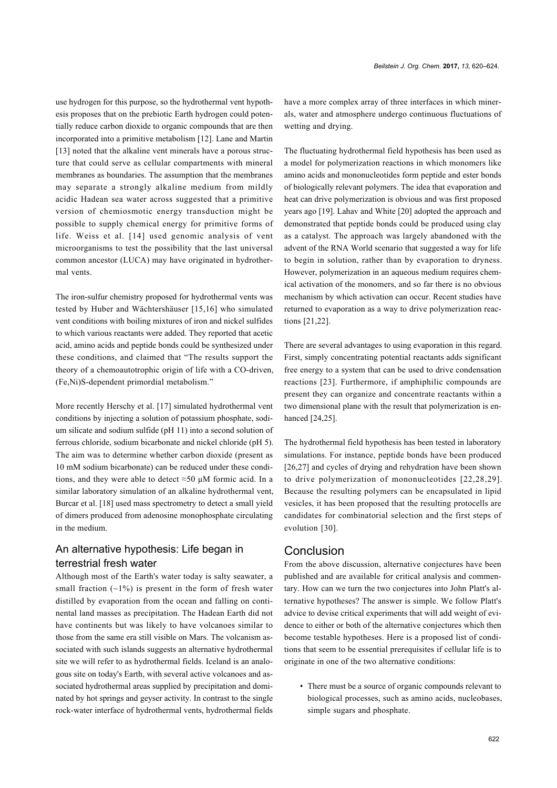use hydrogen for this purpose, so the hydrothermal vent hypothesis proposes that on the prebiotic Earth hydrogen could potentially reduce carbon dioxide to organic compounds that are then incorporated into a primitive metabolism [\[12\]](#page-3-8). Lane and Martin [\[13\]](#page-3-9) noted that the alkaline vent minerals have a porous structure that could serve as cellular compartments with mineral membranes as boundaries. The assumption that the membranes may separate a strongly alkaline medium from mildly acidic Hadean sea water across suggested that a primitive version of chemiosmotic energy transduction might be possible to supply chemical energy for primitive forms of life. Weiss et al. [\[14\]](#page-3-10) used genomic analysis of vent microorganisms to test the possibility that the last universal common ancestor (LUCA) may have originated in hydrothermal vents.

The iron-sulfur chemistry proposed for hydrothermal vents was tested by Huber and Wächtershäuser [\[15,16\]](#page-3-11) who simulated vent conditions with boiling mixtures of iron and nickel sulfides to which various reactants were added. They reported that acetic acid, amino acids and peptide bonds could be synthesized under these conditions, and claimed that "The results support the theory of a chemoautotrophic origin of life with a CO-driven, (Fe,Ni)S-dependent primordial metabolism."

More recently Herschy et al. [\[17\]](#page-3-12) simulated hydrothermal vent conditions by injecting a solution of potassium phosphate, sodium silicate and sodium sulfide (pH 11) into a second solution of ferrous chloride, sodium bicarbonate and nickel chloride (pH 5). The aim was to determine whether carbon dioxide (present as 10 mM sodium bicarbonate) can be reduced under these conditions, and they were able to detect  $\approx 50$  µM formic acid. In a similar laboratory simulation of an alkaline hydrothermal vent, Burcar et al. [\[18\]](#page-3-13) used mass spectrometry to detect a small yield of dimers produced from adenosine monophosphate circulating in the medium.

## An alternative hypothesis: Life began in terrestrial fresh water

Although most of the Earth's water today is salty seawater, a small fraction  $(-1\%)$  is present in the form of fresh water distilled by evaporation from the ocean and falling on continental land masses as precipitation. The Hadean Earth did not have continents but was likely to have volcanoes similar to those from the same era still visible on Mars. The volcanism associated with such islands suggests an alternative hydrothermal site we will refer to as hydrothermal fields. Iceland is an analogous site on today's Earth, with several active volcanoes and associated hydrothermal areas supplied by precipitation and dominated by hot springs and geyser activity. In contrast to the single rock-water interface of hydrothermal vents, hydrothermal fields

have a more complex array of three interfaces in which minerals, water and atmosphere undergo continuous fluctuations of wetting and drying.

The fluctuating hydrothermal field hypothesis has been used as a model for polymerization reactions in which monomers like amino acids and mononucleotides form peptide and ester bonds of biologically relevant polymers. The idea that evaporation and heat can drive polymerization is obvious and was first proposed years ago [\[19\].](#page-3-14) Lahav and White [\[20\]](#page-3-15) adopted the approach and demonstrated that peptide bonds could be produced using clay as a catalyst. The approach was largely abandoned with the advent of the RNA World scenario that suggested a way for life to begin in solution, rather than by evaporation to dryness. However, polymerization in an aqueous medium requires chemical activation of the monomers, and so far there is no obvious mechanism by which activation can occur. Recent studies have returned to evaporation as a way to drive polymerization reactions [\[21,22\]](#page-3-16).

There are several advantages to using evaporation in this regard. First, simply concentrating potential reactants adds significant free energy to a system that can be used to drive condensation reactions [\[23\]](#page-3-17). Furthermore, if amphiphilic compounds are present they can organize and concentrate reactants within a two dimensional plane with the result that polymerization is enhanced [\[24,25\]](#page-3-18).

The hydrothermal field hypothesis has been tested in laboratory simulations. For instance, peptide bonds have been produced [\[26,27\]](#page-3-19) and cycles of drying and rehydration have been shown to drive polymerization of mononucleotides [\[22,28,29\]](#page-3-20). Because the resulting polymers can be encapsulated in lipid vesicles, it has been proposed that the resulting protocells are candidates for combinatorial selection and the first steps of evolution [\[30\].](#page-3-21)

### Conclusion

From the above discussion, alternative conjectures have been published and are available for critical analysis and commentary. How can we turn the two conjectures into John Platt's alternative hypotheses? The answer is simple. We follow Platt's advice to devise critical experiments that will add weight of evidence to either or both of the alternative conjectures which then become testable hypotheses. Here is a proposed list of conditions that seem to be essential prerequisites if cellular life is to originate in one of the two alternative conditions:

• There must be a source of organic compounds relevant to biological processes, such as amino acids, nucleobases, simple sugars and phosphate.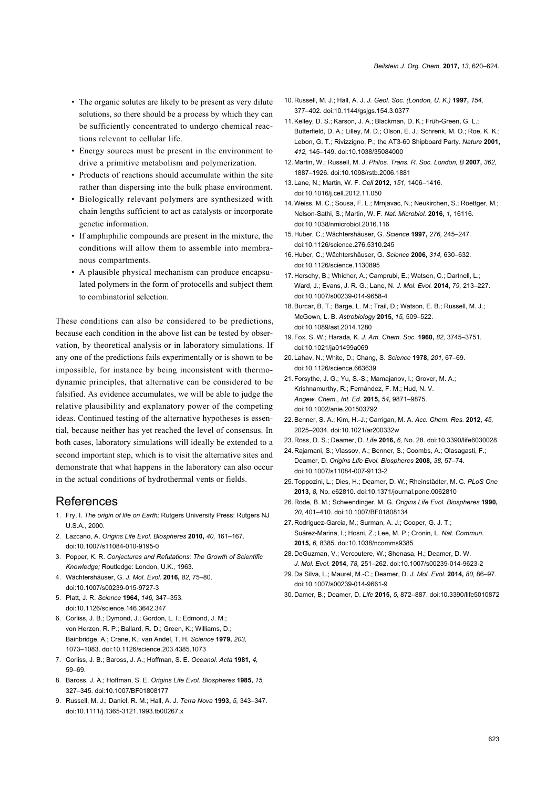- The organic solutes are likely to be present as very dilute solutions, so there should be a process by which they can be sufficiently concentrated to undergo chemical reactions relevant to cellular life.
- Energy sources must be present in the environment to drive a primitive metabolism and polymerization.
- Products of reactions should accumulate within the site rather than dispersing into the bulk phase environment.
- Biologically relevant polymers are synthesized with chain lengths sufficient to act as catalysts or incorporate genetic information.
- If amphiphilic compounds are present in the mixture, the conditions will allow them to assemble into membranous compartments.
- A plausible physical mechanism can produce encapsulated polymers in the form of protocells and subject them to combinatorial selection.

These conditions can also be considered to be predictions, because each condition in the above list can be tested by observation, by theoretical analysis or in laboratory simulations. If any one of the predictions fails experimentally or is shown to be impossible, for instance by being inconsistent with thermodynamic principles, that alternative can be considered to be falsified. As evidence accumulates, we will be able to judge the relative plausibility and explanatory power of the competing ideas. Continued testing of the alternative hypotheses is essential, because neither has yet reached the level of consensus. In both cases, laboratory simulations will ideally be extended to a second important step, which is to visit the alternative sites and demonstrate that what happens in the laboratory can also occur in the actual conditions of hydrothermal vents or fields.

### References

- <span id="page-3-0"></span>1. Fry, I. *The origin of life on Earth;* Rutgers University Press: Rutgers NJ U.S.A., 2000.
- <span id="page-3-1"></span>2. Lazcano, A. *Origins Life Evol. Biospheres* **2010,** *40,* 161–167. [doi:10.1007/s11084-010-9195-0](https://doi.org/10.1007%2Fs11084-010-9195-0)
- <span id="page-3-2"></span>3. Popper, K. R. *Conjectures and Refutations: The Growth of Scientific Knowledge;* Routledge: London, U.K., 1963.
- <span id="page-3-3"></span>4. Wächtershäuser, G. *J. Mol. Evol.* **2016,** *82,* 75–80. [doi:10.1007/s00239-015-9727-3](https://doi.org/10.1007%2Fs00239-015-9727-3)
- <span id="page-3-4"></span>5. Platt, J. R. *Science* **1964,** *146,* 347–353. [doi:10.1126/science.146.3642.347](https://doi.org/10.1126%2Fscience.146.3642.347)
- <span id="page-3-5"></span>6. Corliss, J. B.; Dymond, J.; Gordon, L. I.; Edmond, J. M.; von Herzen, R. P.; Ballard, R. D.; Green, K.; Williams, D.; Bainbridge, A.; Crane, K.; van Andel, T. H. *Science* **1979,** *203,* 1073–1083. [doi:10.1126/science.203.4385.1073](https://doi.org/10.1126%2Fscience.203.4385.1073)
- <span id="page-3-6"></span>7. Corliss, J. B.; Baross, J. A.; Hoffman, S. E. *Oceanol. Acta* **1981,** *4,* 59–69.
- 8. Baross, J. A.; Hoffman, S. E. *Origins Life Evol. Biospheres* **1985,** *15,* 327–345. [doi:10.1007/BF01808177](https://doi.org/10.1007%2FBF01808177)
- 9. Russell, M. J.; Daniel, R. M.; Hall, A. J. *Terra Nova* **1993,** *5,* 343–347. [doi:10.1111/j.1365-3121.1993.tb00267.x](https://doi.org/10.1111%2Fj.1365-3121.1993.tb00267.x)
- 10. Russell, M. J.; Hall, A. J. *J. Geol. Soc. (London, U. K.)* **1997,** *154,* 377–402. [doi:10.1144/gsjgs.154.3.0377](https://doi.org/10.1144%2Fgsjgs.154.3.0377)
- <span id="page-3-7"></span>11.Kelley, D. S.; Karson, J. A.; Blackman, D. K.; Früh-Green, G. L.; Butterfield, D. A.; Lilley, M. D.; Olson, E. J.; Schrenk, M. O.; Roe, K. K.; Lebon, G. T.; Rivizzigno, P.; the AT3-60 Shipboard Party. *Nature* **2001,** *412,* 145–149. [doi:10.1038/35084000](https://doi.org/10.1038%2F35084000)
- <span id="page-3-8"></span>12. Martin, W.; Russell, M. J. *Philos. Trans. R. Soc. London, B* **2007,** *362,* 1887–1926. [doi:10.1098/rstb.2006.1881](https://doi.org/10.1098%2Frstb.2006.1881)
- <span id="page-3-9"></span>13. Lane, N.; Martin, W. F. *Cell* **2012,** *151,* 1406–1416. [doi:10.1016/j.cell.2012.11.050](https://doi.org/10.1016%2Fj.cell.2012.11.050)
- <span id="page-3-10"></span>14.Weiss, M. C.; Sousa, F. L.; Mrnjavac, N.; Neukirchen, S.; Roettger, M.; Nelson-Sathi, S.; Martin, W. F. *Nat. Microbiol.* **2016,** *1,* 16116. [doi:10.1038/nmicrobiol.2016.116](https://doi.org/10.1038%2Fnmicrobiol.2016.116)
- <span id="page-3-11"></span>15. Huber, C.; Wächtershäuser, G. *Science* **1997,** *276,* 245–247. [doi:10.1126/science.276.5310.245](https://doi.org/10.1126%2Fscience.276.5310.245)
- 16. Huber, C.; Wächtershäuser, G. *Science* **2006,** *314,* 630–632. [doi:10.1126/science.1130895](https://doi.org/10.1126%2Fscience.1130895)
- <span id="page-3-12"></span>17. Herschy, B.; Whicher, A.; Camprubi, E.; Watson, C.; Dartnell, L.; Ward, J.; Evans, J. R. G.; Lane, N. *J. Mol. Evol.* **2014,** *79,* 213–227. [doi:10.1007/s00239-014-9658-4](https://doi.org/10.1007%2Fs00239-014-9658-4)
- <span id="page-3-13"></span>18.Burcar, B. T.; Barge, L. M.; Trail, D.; Watson, E. B.; Russell, M. J.; McGown, L. B. *Astrobiology* **2015,** *15,* 509–522. [doi:10.1089/ast.2014.1280](https://doi.org/10.1089%2Fast.2014.1280)
- <span id="page-3-14"></span>19.Fox, S. W.; Harada, K. *J. Am. Chem. Soc.* **1960,** *82,* 3745–3751. [doi:10.1021/ja01499a069](https://doi.org/10.1021%2Fja01499a069)
- <span id="page-3-15"></span>20. Lahav, N.; White, D.; Chang, S. *Science* **1978,** *201,* 67–69. [doi:10.1126/science.663639](https://doi.org/10.1126%2Fscience.663639)
- <span id="page-3-16"></span>21.Forsythe, J. G.; Yu, S.-S.; Mamajanov, I.; Grover, M. A.; Krishnamurthy, R.; Fernández, F. M.; Hud, N. V. *Angew. Chem., Int. Ed.* **2015,** *54,* 9871–9875. [doi:10.1002/anie.201503792](https://doi.org/10.1002%2Fanie.201503792)
- <span id="page-3-20"></span>22.Benner, S. A.; Kim, H.-J.; Carrigan, M. A. *Acc. Chem. Res.* **2012,** *45,* 2025–2034. [doi:10.1021/ar200332w](https://doi.org/10.1021%2Far200332w)
- <span id="page-3-17"></span>23. Ross, D. S.; Deamer, D. *Life* **2016,** *6,* No. 28. [doi:10.3390/life6030028](https://doi.org/10.3390%2Flife6030028)
- <span id="page-3-18"></span>24. Rajamani, S.; Vlassov, A.; Benner, S.; Coombs, A.; Olasagasti, F.; Deamer, D. *Origins Life Evol. Biospheres* **2008,** *38,* 57–74. [doi:10.1007/s11084-007-9113-2](https://doi.org/10.1007%2Fs11084-007-9113-2)
- 25.Toppozini, L.; Dies, H.; Deamer, D. W.; Rheinstädter, M. C. *PLoS One* **2013,** *8,* No. e62810. [doi:10.1371/journal.pone.0062810](https://doi.org/10.1371%2Fjournal.pone.0062810)
- <span id="page-3-19"></span>26. Rode, B. M.; Schwendinger, M. G. *Origins Life Evol. Biospheres* **1990,** *20,* 401–410. [doi:10.1007/BF01808134](https://doi.org/10.1007%2FBF01808134)
- 27. Rodriguez-Garcia, M.; Surman, A. J.; Cooper, G. J. T.; Suárez-Marina, I.; Hosni, Z.; Lee, M. P.; Cronin, L. *Nat. Commun.* **2015,** *6,* 8385. [doi:10.1038/ncomms9385](https://doi.org/10.1038%2Fncomms9385)
- 28. DeGuzman, V.; Vercoutere, W.; Shenasa, H.; Deamer, D. W. *J. Mol. Evol.* **2014,** *78,* 251–262. [doi:10.1007/s00239-014-9623-2](https://doi.org/10.1007%2Fs00239-014-9623-2)
- 29. Da Silva, L.; Maurel, M.-C.; Deamer, D. *J. Mol. Evol.* **2014,** *80,* 86–97. [doi:10.1007/s00239-014-9661-9](https://doi.org/10.1007%2Fs00239-014-9661-9)
- <span id="page-3-21"></span>30. Damer, B.; Deamer, D. *Life* **2015,** *5,* 872–887. [doi:10.3390/life5010872](https://doi.org/10.3390%2Flife5010872)